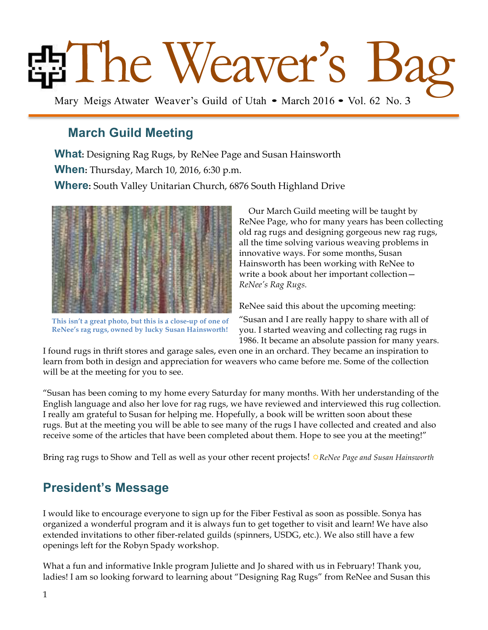# Bag Mary Meigs Atwater Weaver's Guild of Utah • March 2016 • Vol. 62 No. 3

## **March Guild Meeting**

**What:** Designing Rag Rugs, by ReNee Page and Susan Hainsworth **When:** Thursday, March 10, 2016, 6:30 p.m. **Where:** South Valley Unitarian Church, 6876 South Highland Drive



**This isn't a great photo, but this is a close-up of one of ReNee's rag rugs, owned by lucky Susan Hainsworth!**

 Our March Guild meeting will be taught by ReNee Page, who for many years has been collecting old rag rugs and designing gorgeous new rag rugs, all the time solving various weaving problems in innovative ways. For some months, Susan Hainsworth has been working with ReNee to write a book about her important collection— *ReNee's Rag Rugs.*

ReNee said this about the upcoming meeting:

"Susan and I are really happy to share with all of you. I started weaving and collecting rag rugs in 1986. It became an absolute passion for many years.

I found rugs in thrift stores and garage sales, even one in an orchard. They became an inspiration to learn from both in design and appreciation for weavers who came before me. Some of the collection will be at the meeting for you to see.

"Susan has been coming to my home every Saturday for many months. With her understanding of the English language and also her love for rag rugs, we have reviewed and interviewed this rug collection. I really am grateful to Susan for helping me. Hopefully, a book will be written soon about these rugs. But at the meeting you will be able to see many of the rugs I have collected and created and also receive some of the articles that have been completed about them. Hope to see you at the meeting!"

Bring rag rugs to Show and Tell as well as your other recent projects! R*ReNee Page and Susan Hainsworth*

# **President's Message**

I would like to encourage everyone to sign up for the Fiber Festival as soon as possible. Sonya has organized a wonderful program and it is always fun to get together to visit and learn! We have also extended invitations to other fiber-related guilds (spinners, USDG, etc.). We also still have a few openings left for the Robyn Spady workshop.

What a fun and informative Inkle program Juliette and Jo shared with us in February! Thank you, ladies! I am so looking forward to learning about "Designing Rag Rugs" from ReNee and Susan this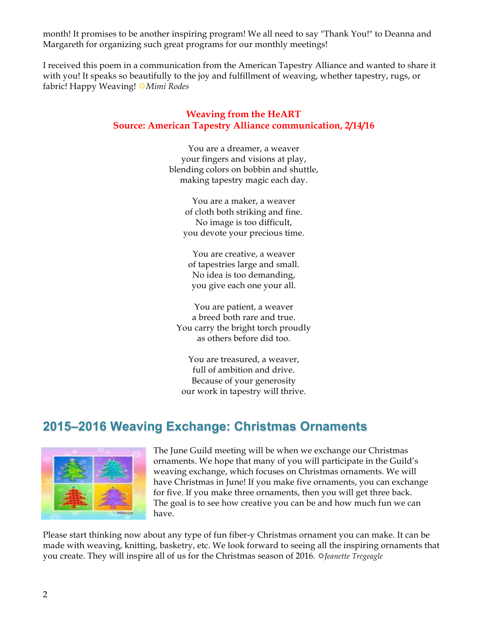month! It promises to be another inspiring program! We all need to say "Thank You!" to Deanna and Margareth for organizing such great programs for our monthly meetings!

I received this poem in a communication from the American Tapestry Alliance and wanted to share it with you! It speaks so beautifully to the joy and fulfillment of weaving, whether tapestry, rugs, or fabric! Happy Weaving! **☆***Mimi Rodes* 

#### **Weaving from the HeART Source: American Tapestry Alliance communication, 2/14/16**

You are a dreamer, a weaver your fingers and visions at play, blending colors on bobbin and shuttle, making tapestry magic each day.

You are a maker, a weaver of cloth both striking and fine. No image is too difficult, you devote your precious time.

You are creative, a weaver of tapestries large and small. No idea is too demanding, you give each one your all.

You are patient, a weaver a breed both rare and true. You carry the bright torch proudly as others before did too.

You are treasured, a weaver, full of ambition and drive. Because of your generosity our work in tapestry will thrive.

# **2015–2016 Weaving Exchange: Christmas Ornaments**



The June Guild meeting will be when we exchange our Christmas ornaments. We hope that many of you will participate in the Guild's weaving exchange, which focuses on Christmas ornaments. We will have Christmas in June! If you make five ornaments, you can exchange for five. If you make three ornaments, then you will get three back. The goal is to see how creative you can be and how much fun we can have.

Please start thinking now about any type of fun fiber-y Christmas ornament you can make. It can be made with weaving, knitting, basketry, etc. We look forward to seeing all the inspiring ornaments that you create. They will inspire all of us for the Christmas season of 2016.  $\Im$  *Jeanette Tregeagle*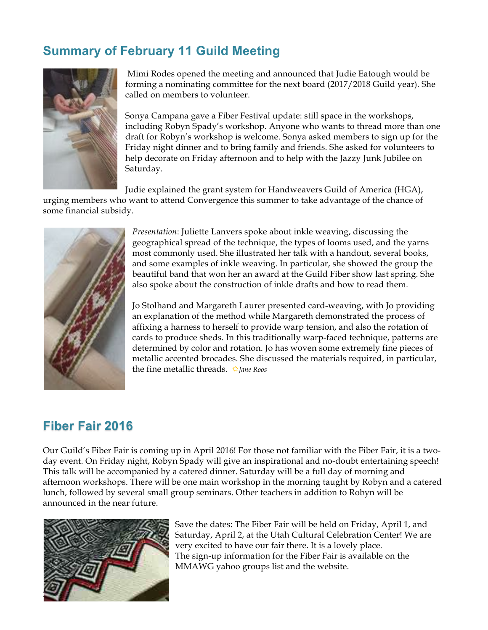# **Summary of February 11 Guild Meeting**



Mimi Rodes opened the meeting and announced that Judie Eatough would be forming a nominating committee for the next board (2017/2018 Guild year). She called on members to volunteer.

Sonya Campana gave a Fiber Festival update: still space in the workshops, including Robyn Spady's workshop. Anyone who wants to thread more than one draft for Robyn's workshop is welcome. Sonya asked members to sign up for the Friday night dinner and to bring family and friends. She asked for volunteers to help decorate on Friday afternoon and to help with the Jazzy Junk Jubilee on Saturday.

Judie explained the grant system for Handweavers Guild of America (HGA),

urging members who want to attend Convergence this summer to take advantage of the chance of some financial subsidy.



*Presentation*: Juliette Lanvers spoke about inkle weaving, discussing the geographical spread of the technique, the types of looms used, and the yarns most commonly used. She illustrated her talk with a handout, several books, and some examples of inkle weaving. In particular, she showed the group the beautiful band that won her an award at the Guild Fiber show last spring. She also spoke about the construction of inkle drafts and how to read them.

Jo Stolhand and Margareth Laurer presented card-weaving, with Jo providing an explanation of the method while Margareth demonstrated the process of affixing a harness to herself to provide warp tension, and also the rotation of cards to produce sheds. In this traditionally warp-faced technique, patterns are determined by color and rotation. Jo has woven some extremely fine pieces of metallic accented brocades. She discussed the materials required, in particular, the fine metallic threads.  $\triangle$ *Jane Roos* 

### **Fiber Fair 2016**

Our Guild's Fiber Fair is coming up in April 2016! For those not familiar with the Fiber Fair, it is a twoday event. On Friday night, Robyn Spady will give an inspirational and no-doubt entertaining speech! This talk will be accompanied by a catered dinner. Saturday will be a full day of morning and afternoon workshops. There will be one main workshop in the morning taught by Robyn and a catered lunch, followed by several small group seminars. Other teachers in addition to Robyn will be announced in the near future.



Save the dates: The Fiber Fair will be held on Friday, April 1, and Saturday, April 2, at the Utah Cultural Celebration Center! We are very excited to have our fair there. It is a lovely place. The sign-up information for the Fiber Fair is available on the MMAWG yahoo groups list and the website.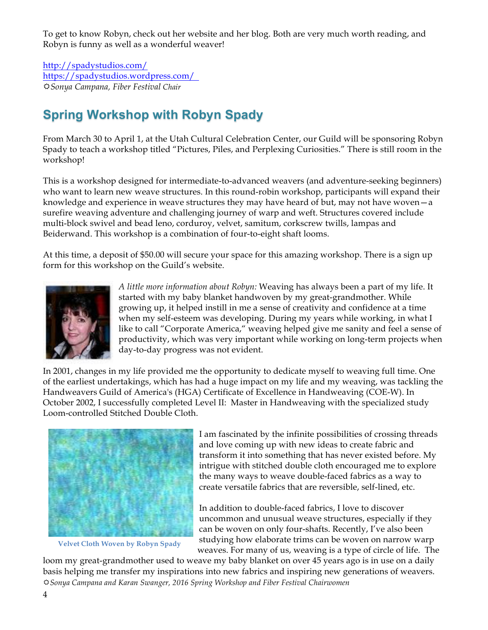To get to know Robyn, check out her website and her blog. Both are very much worth reading, and Robyn is funny as well as a wonderful weaver!

http://spadystudios.com/ https://spadystudios.wordpress.com/ R*Sonya Campana, Fiber Festival Chair*

# **Spring Workshop with Robyn Spady**

From March 30 to April 1, at the Utah Cultural Celebration Center, our Guild will be sponsoring Robyn Spady to teach a workshop titled "Pictures, Piles, and Perplexing Curiosities." There is still room in the workshop!

This is a workshop designed for intermediate-to-advanced weavers (and adventure-seeking beginners) who want to learn new weave structures. In this round-robin workshop, participants will expand their knowledge and experience in weave structures they may have heard of but, may not have woven—a surefire weaving adventure and challenging journey of warp and weft. Structures covered include multi-block swivel and bead leno, corduroy, velvet, samitum, corkscrew twills, lampas and Beiderwand. This workshop is a combination of four-to-eight shaft looms.

At this time, a deposit of \$50.00 will secure your space for this amazing workshop. There is a sign up form for this workshop on the Guild's website.



*A little more information about Robyn:* Weaving has always been a part of my life. It started with my baby blanket handwoven by my great-grandmother. While growing up, it helped instill in me a sense of creativity and confidence at a time when my self-esteem was developing. During my years while working, in what I like to call "Corporate America," weaving helped give me sanity and feel a sense of productivity, which was very important while working on long-term projects when day-to-day progress was not evident.

In 2001, changes in my life provided me the opportunity to dedicate myself to weaving full time. One of the earliest undertakings, which has had a huge impact on my life and my weaving, was tackling the Handweavers Guild of America's (HGA) Certificate of Excellence in Handweaving (COE-W). In October 2002, I successfully completed Level II: Master in Handweaving with the specialized study Loom-controlled Stitched Double Cloth.



**Velvet Cloth Woven by Robyn Spady**

I am fascinated by the infinite possibilities of crossing threads and love coming up with new ideas to create fabric and transform it into something that has never existed before. My intrigue with stitched double cloth encouraged me to explore the many ways to weave double-faced fabrics as a way to create versatile fabrics that are reversible, self-lined, etc.

In addition to double-faced fabrics, I love to discover uncommon and unusual weave structures, especially if they can be woven on only four-shafts. Recently, I've also been studying how elaborate trims can be woven on narrow warp weaves. For many of us, weaving is a type of circle of life. The

loom my great-grandmother used to weave my baby blanket on over 45 years ago is in use on a daily basis helping me transfer my inspirations into new fabrics and inspiring new generations of weavers. R*Sonya Campana and Karan Swanger, 2016 Spring Workshop and Fiber Festival Chairwomen*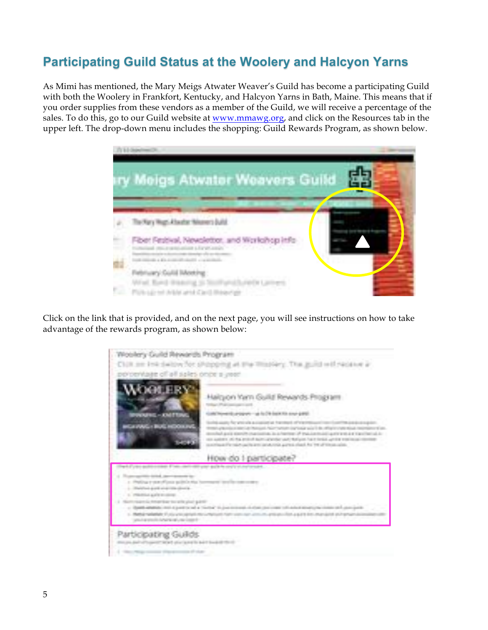# **Participating Guild Status at the Woolery and Halcyon Yarns**

As Mimi has mentioned, the Mary Meigs Atwater Weaver's Guild has become a participating Guild with both the Woolery in Frankfort, Kentucky, and Halcyon Yarns in Bath, Maine. This means that if you order supplies from these vendors as a member of the Guild, we will receive a percentage of the sales. To do this, go to our Guild website at www.mmawg.org, and click on the Resources tab in the upper left. The drop-down menu includes the shopping: Guild Rewards Program, as shown below.



Click on the link that is provided, and on the next page, you will see instructions on how to take advantage of the rewards program, as shown below:

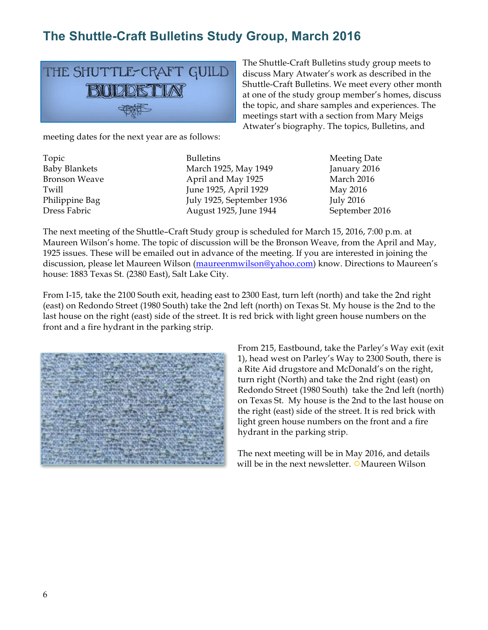# **The Shuttle-Craft Bulletins Study Group, March 2016**



The Shuttle-Craft Bulletins study group meets to discuss Mary Atwater's work as described in the Shuttle-Craft Bulletins. We meet every other month at one of the study group member's homes, discuss the topic, and share samples and experiences. The meetings start with a section from Mary Meigs Atwater's biography. The topics, Bulletins, and

meeting dates for the next year are as follows:

Topic **Bulletins** Bulletins Meeting Date Baby Blankets March 1925, May 1949 January 2016 Bronson Weave **April and May 1925** March 2016 Twill **Iune 1925, April 1929** May 2016 Philippine Bag July 1925, September 1936 July 2016 Dress Fabric August 1925, June 1944 September 2016

The next meeting of the Shuttle–Craft Study group is scheduled for March 15, 2016, 7:00 p.m. at Maureen Wilson's home. The topic of discussion will be the Bronson Weave, from the April and May, 1925 issues. These will be emailed out in advance of the meeting. If you are interested in joining the discussion, please let Maureen Wilson (maureenmwilson@yahoo.com) know. Directions to Maureen's house: 1883 Texas St. (2380 East), Salt Lake City.

From I-15, take the 2100 South exit, heading east to 2300 East, turn left (north) and take the 2nd right (east) on Redondo Street (1980 South) take the 2nd left (north) on Texas St. My house is the 2nd to the last house on the right (east) side of the street. It is red brick with light green house numbers on the front and a fire hydrant in the parking strip.



From 215, Eastbound, take the Parley's Way exit (exit 1), head west on Parley's Way to 2300 South, there is a Rite Aid drugstore and McDonald's on the right, turn right (North) and take the 2nd right (east) on Redondo Street (1980 South) take the 2nd left (north) on Texas St. My house is the 2nd to the last house on the right (east) side of the street. It is red brick with light green house numbers on the front and a fire hydrant in the parking strip.

The next meeting will be in May 2016, and details will be in the next newsletter.  $\circ$ Maureen Wilson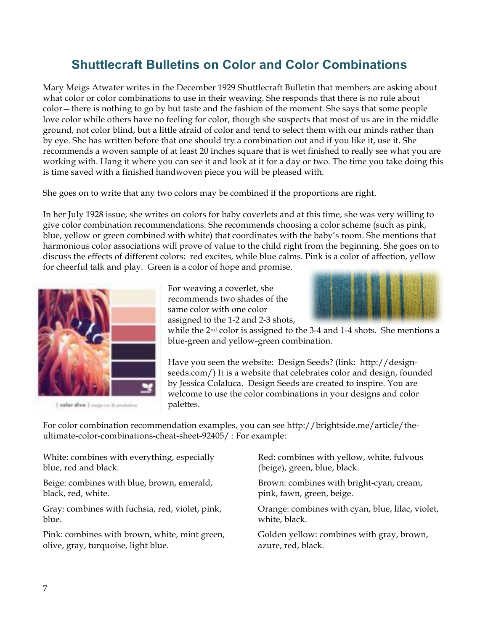## **Shuttlecraft Bulletins on Color and Color Combinations**

Mary Meigs Atwater writes in the December 1929 Shuttlecraft Bulletin that members are asking about what color or color combinations to use in their weaving. She responds that there is no rule about color—there is nothing to go by but taste and the fashion of the moment. She says that some people love color while others have no feeling for color, though she suspects that most of us are in the middle ground, not color blind, but a little afraid of color and tend to select them with our minds rather than by eye. She has written before that one should try a combination out and if you like it, use it. She recommends a woven sample of at least 20 inches square that is wet finished to really see what you are working with. Hang it where you can see it and look at it for a day or two. The time you take doing this is time saved with a finished handwoven piece you will be pleased with.

She goes on to write that any two colors may be combined if the proportions are right.

In her July 1928 issue, she writes on colors for baby coverlets and at this time, she was very willing to give color combination recommendations. She recommends choosing a color scheme (such as pink, blue, yellow or green combined with white) that coordinates with the baby's room. She mentions that harmonious color associations will prove of value to the child right from the beginning. She goes on to discuss the effects of different colors: red excites, while blue calms. Pink is a color of affection, yellow for cheerful talk and play. Green is a color of hope and promise.



[ salar dive ] inspiring postation

For weaving a coverlet, she recommends two shades of the same color with one color assigned to the 1-2 and 2-3 shots,



while the 2nd color is assigned to the 3-4 and 1-4 shots. She mentions a blue-green and yellow-green combination.

Have you seen the website: Design Seeds? (link: http://designseeds.com/) It is a website that celebrates color and design, founded by Jessica Colaluca. Design Seeds are created to inspire. You are welcome to use the color combinations in your designs and color palettes.

For color combination recommendation examples, you can see http://brightside.me/article/theultimate-color-combinations-cheat-sheet-92405/ : For example:

White: combines with everything, especially blue, red and black.

Beige: combines with blue, brown, emerald, black, red, white.

Gray: combines with fuchsia, red, violet, pink, blue.

Pink: combines with brown, white, mint green, olive, gray, turquoise, light blue.

Red: combines with yellow, white, fulvous (beige), green, blue, black.

Brown: combines with bright-cyan, cream, pink, fawn, green, beige.

Orange: combines with cyan, blue, lilac, violet, white, black.

Golden yellow: combines with gray, brown, azure, red, black.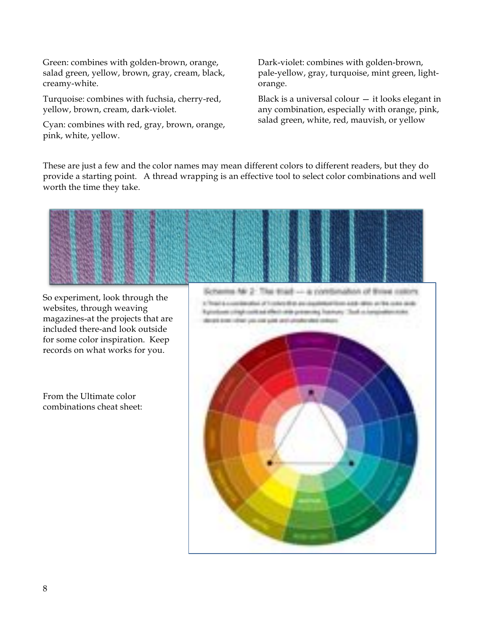Green: combines with golden-brown, orange, salad green, yellow, brown, gray, cream, black, creamy-white.

Turquoise: combines with fuchsia, cherry-red, yellow, brown, cream, dark-violet.

Cyan: combines with red, gray, brown, orange, pink, white, yellow.

Dark-violet: combines with golden-brown, pale-yellow, gray, turquoise, mint green, lightorange.

Black is a universal colour  $-$  it looks elegant in any combination, especially with orange, pink, salad green, white, red, mauvish, or yellow

These are just a few and the color names may mean different colors to different readers, but they do provide a starting point. A thread wrapping is an effective tool to select color combinations and well worth the time they take.



So experiment, look through the websites, through weaving magazines-at the projects that are included there-and look outside for some color inspiration. Keep records on what works for you.

From the Ultimate color combinations cheat sheet: